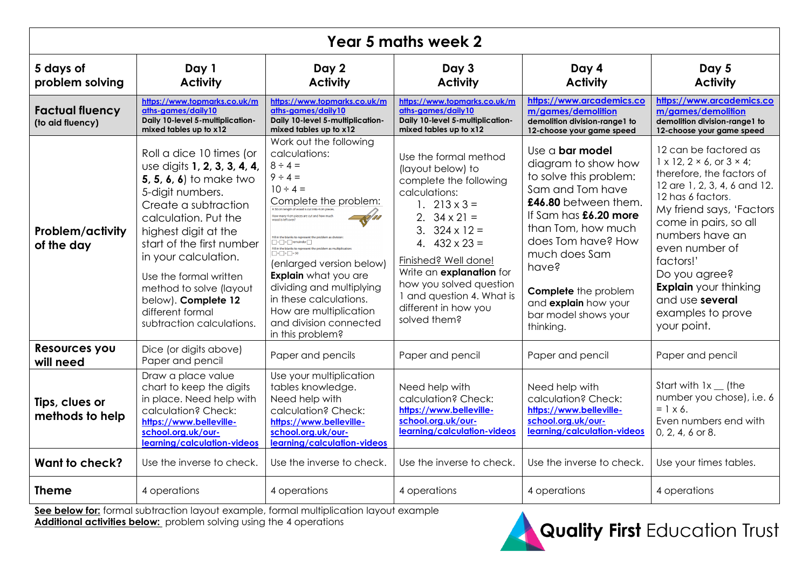| Year 5 maths week 2                        |                                                                                                                                                                                                                                                                                                                                                                          |                                                                                                                                                                                                                                                                                                                                                                                                                                                                                                                                                                 |                                                                                                                                                                                                                                                                                                                                                |                                                                                                                                                                                                                                                                                                           |                                                                                                                                                                                                                                                                                                                                                                            |  |  |
|--------------------------------------------|--------------------------------------------------------------------------------------------------------------------------------------------------------------------------------------------------------------------------------------------------------------------------------------------------------------------------------------------------------------------------|-----------------------------------------------------------------------------------------------------------------------------------------------------------------------------------------------------------------------------------------------------------------------------------------------------------------------------------------------------------------------------------------------------------------------------------------------------------------------------------------------------------------------------------------------------------------|------------------------------------------------------------------------------------------------------------------------------------------------------------------------------------------------------------------------------------------------------------------------------------------------------------------------------------------------|-----------------------------------------------------------------------------------------------------------------------------------------------------------------------------------------------------------------------------------------------------------------------------------------------------------|----------------------------------------------------------------------------------------------------------------------------------------------------------------------------------------------------------------------------------------------------------------------------------------------------------------------------------------------------------------------------|--|--|
| 5 days of<br>problem solving               | Day 1<br><b>Activity</b>                                                                                                                                                                                                                                                                                                                                                 |                                                                                                                                                                                                                                                                                                                                                                                                                                                                                                                                                                 | Day 3<br><b>Activity</b>                                                                                                                                                                                                                                                                                                                       | Day 4<br><b>Activity</b>                                                                                                                                                                                                                                                                                  | Day 5<br><b>Activity</b>                                                                                                                                                                                                                                                                                                                                                   |  |  |
| <b>Factual fluency</b><br>(to aid fluency) | https://www.topmarks.co.uk/m<br>aths-aames/daily10<br>Daily 10-level 5-multiplication-<br>mixed tables up to x12                                                                                                                                                                                                                                                         | https://www.topmarks.co.uk/m<br>aths-aames/daily10<br>Daily 10-level 5-multiplication-<br>mixed tables up to x12                                                                                                                                                                                                                                                                                                                                                                                                                                                | https://www.topmarks.co.uk/m<br>aths-aames/daily10<br>Daily 10-level 5-multiplication-<br>mixed tables up to x12                                                                                                                                                                                                                               | https://www.arcademics.co<br>m/games/demolition<br>demolition division-range1 to<br>12-choose your game speed                                                                                                                                                                                             | https://www.arcademics.co<br>m/games/demolition<br>demolition division-range1 to<br>12-choose your game speed                                                                                                                                                                                                                                                              |  |  |
| <b>Problem/activity</b><br>of the day      | Roll a dice 10 times (or<br>use digits 1, 2, 3, 3, 4, 4,<br><b>5, 5, 6, 6)</b> to make two<br>5-digit numbers.<br>Create a subtraction<br>calculation. Put the<br>highest digit at the<br>start of the first number<br>in your calculation.<br>Use the formal written<br>method to solve (layout<br>below). Complete 12<br>different formal<br>subtraction calculations. | Work out the following<br>calculations:<br>$8 \div 4 =$<br>$9 \div 4 =$<br>$10 \div 4 =$<br>Complete the problem:<br>A 50 cm length of wood is cut into 4 cm piece<br>How many 4 cm pieces are cut and how much<br>Fill in the blanks to represent the probl<br>$\Box$ + $\Box$ = $\Box$ remainder<br>Fill in the blanks to represent the property $\times$ $+$ $=$ 50<br>(enlarged version below)<br><b>Explain</b> what you are<br>dividing and multiplying<br>in these calculations.<br>How are multiplication<br>and division connected<br>in this problem? | Use the formal method<br>(layout below) to<br>complete the following<br>calculations:<br>1. $213 \times 3 =$<br>2. $34 \times 21 =$<br>3. $324 \times 12 =$<br>4. $432 \times 23 =$<br>Finished? Well done!<br>Write an <b>explanation</b> for<br>how you solved question<br>1 and question 4. What is<br>different in how you<br>solved them? | Use $a$ bar model<br>diagram to show how<br>to solve this problem:<br>Sam and Tom have<br>£46.80 between them.<br>If Sam has £6.20 more<br>than Tom, how much<br>does Tom have? How<br>much does Sam<br>have?<br><b>Complete</b> the problem<br>and explain how your<br>bar model shows your<br>thinking. | 12 can be factored as<br>$1 \times 12$ , $2 \times 6$ , or $3 \times 4$ ;<br>therefore, the factors of<br>12 are 1, 2, 3, 4, 6 and 12.<br>12 has 6 factors.<br>My friend says, 'Factors<br>come in pairs, so all<br>numbers have an<br>even number of<br>factors!'<br>Do you agree?<br><b>Explain</b> your thinking<br>and use several<br>examples to prove<br>your point. |  |  |
| Resources you<br>will need                 | Dice (or digits above)<br>Paper and pencil                                                                                                                                                                                                                                                                                                                               | Paper and pencils                                                                                                                                                                                                                                                                                                                                                                                                                                                                                                                                               | Paper and pencil                                                                                                                                                                                                                                                                                                                               | Paper and pencil                                                                                                                                                                                                                                                                                          | Paper and pencil                                                                                                                                                                                                                                                                                                                                                           |  |  |
| Tips, clues or<br>methods to help          | Draw a place value<br>chart to keep the digits<br>in place. Need help with<br>calculation? Check:<br>https://www.belleville-<br>school.org.uk/our-<br>learning/calculation-videos                                                                                                                                                                                        | Use your multiplication<br>tables knowledge.<br>Need help with<br>calculation? Check:<br>https://www.belleville-<br>school.org.uk/our-<br>learning/calculation-videos                                                                                                                                                                                                                                                                                                                                                                                           | Need help with<br>calculation? Check:<br>https://www.belleville-<br>school.org.uk/our-<br>learning/calculation-videos                                                                                                                                                                                                                          | Need help with<br>calculation? Check:<br>https://www.belleville-<br>school.org.uk/our-<br>learning/calculation-videos                                                                                                                                                                                     | Start with $1x$ (the<br>number you chose), i.e. 6<br>$= 1 \times 6$ .<br>Even numbers end with<br>$0, 2, 4, 6$ or 8.                                                                                                                                                                                                                                                       |  |  |
| Want to check?                             | Use the inverse to check.                                                                                                                                                                                                                                                                                                                                                | Use the inverse to check.                                                                                                                                                                                                                                                                                                                                                                                                                                                                                                                                       | Use the inverse to check.                                                                                                                                                                                                                                                                                                                      | Use the inverse to check.                                                                                                                                                                                                                                                                                 | Use your times tables.                                                                                                                                                                                                                                                                                                                                                     |  |  |
| <b>Theme</b>                               | 4 operations                                                                                                                                                                                                                                                                                                                                                             | 4 operations                                                                                                                                                                                                                                                                                                                                                                                                                                                                                                                                                    | 4 operations                                                                                                                                                                                                                                                                                                                                   | 4 operations                                                                                                                                                                                                                                                                                              | 4 operations                                                                                                                                                                                                                                                                                                                                                               |  |  |

**See below for:** formal subtraction layout example, formal multiplication layout example **Additional activities below:** problem solving using the 4 operations

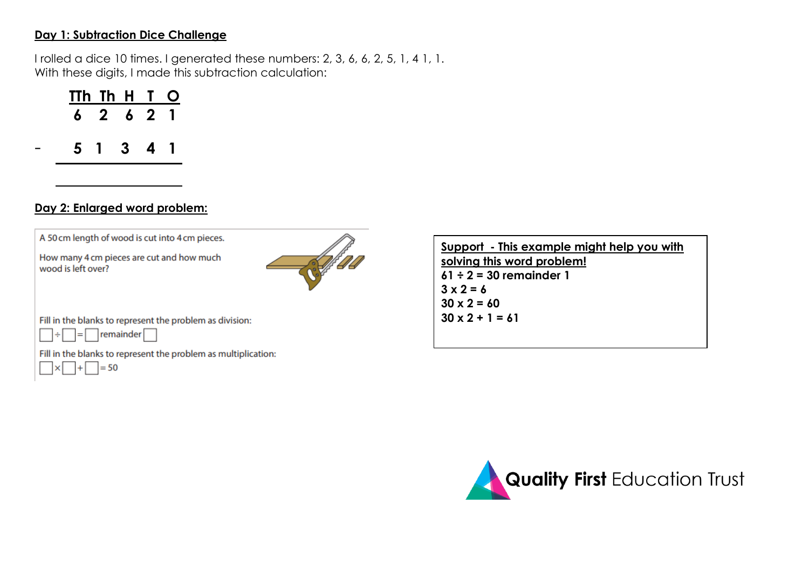#### **Day 1: Subtraction Dice Challenge**

I rolled a dice 10 times. I generated these numbers: 2, 3, 6, 6, 2, 5, 1, 4 1, 1. With these digits, I made this subtraction calculation:

| TTh Th H T |           |  | $\mathbf O$ |
|------------|-----------|--|-------------|
|            | 6 2 6 2 1 |  |             |
|            | 5 1 3 4 1 |  |             |
|            |           |  |             |

### **Day 2: Enlarged word problem:**





Fill in the blanks to represent the problem as division:



Fill in the blanks to represent the problem as multiplication:



**Support - This example might help you with solving this word problem! 61 ÷ 2 = 30 remainder 1**  $3 \times 2 = 6$ **30 x 2 = 60 30 x 2 + 1 = 61**

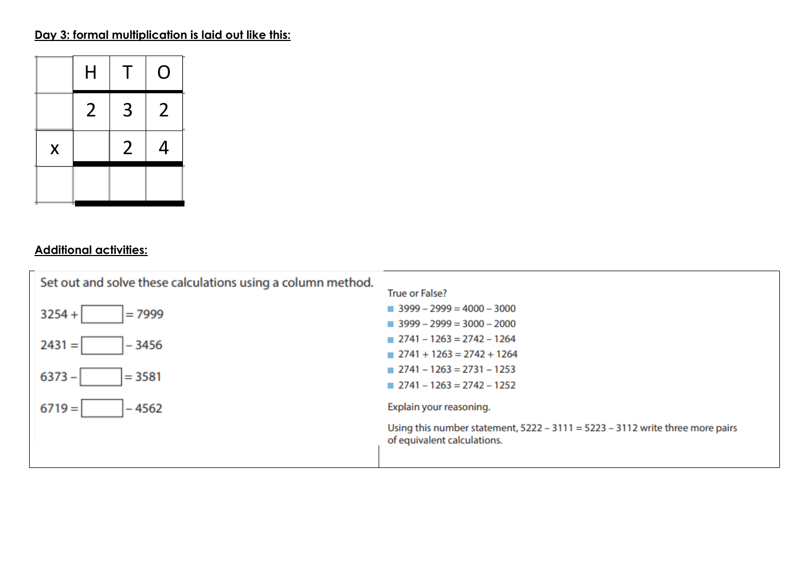# **Day 3: formal multiplication is laid out like this:**



## **Additional activities:**

| Set out and solve these calculations using a column method. | <b>True or False?</b>                                                                                          |
|-------------------------------------------------------------|----------------------------------------------------------------------------------------------------------------|
| $3254 +$                                                    | $\blacksquare$ 3999 - 2999 = 4000 - 3000                                                                       |
| $=7999$                                                     | $\blacksquare$ 3999 – 2999 = 3000 – 2000                                                                       |
| $2431 =$                                                    | $2741 - 1263 = 2742 - 1264$                                                                                    |
| $-3456$                                                     | $2741 + 1263 = 2742 + 1264$                                                                                    |
| $6373 -$                                                    | $2741 - 1263 = 2731 - 1253$                                                                                    |
| $= 3581$                                                    | $2741 - 1263 = 2742 - 1252$                                                                                    |
| $6719 =$<br>$-4562$                                         | Explain your reasoning.                                                                                        |
|                                                             | Using this number statement, $5222 - 3111 = 5223 - 3112$ write three more pairs<br>of equivalent calculations. |